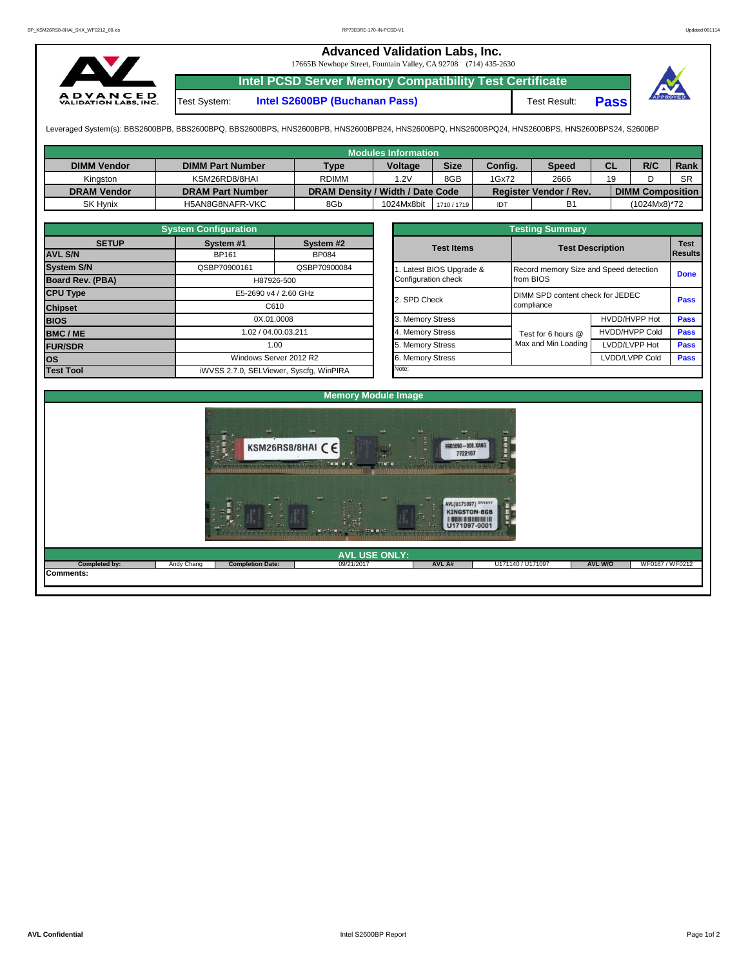## **Advanced Validation Labs, Inc.**  17665B Newhope Street, Fountain Valley, CA 92708 (714) 435-2630 **Intel PCSD Server Memory Compatibility Test Certificate A D V A N C E D**<br>VALIDATION LABS, INC. Test System: **Intel S2600BP (Buchanan Pass)** Test Result: **Pass**

Leveraged System(s): BBS2600BPB, BBS2600BPQ, BBS2600BPS, HNS2600BPB, HNS2600BPB24, HNS2600BPQ, HNS2600BPQ24, HNS2600BPS, HNS2600BPS24, S2600BP

|                    |                         |                                  | <b>Modules Information</b> |             |         |                               |    |                         |             |
|--------------------|-------------------------|----------------------------------|----------------------------|-------------|---------|-------------------------------|----|-------------------------|-------------|
| <b>DIMM Vendor</b> | <b>DIMM Part Number</b> | <b>Type</b>                      | <b>Voltage</b>             | <b>Size</b> | Config. | <b>Speed</b>                  | СL | R/C                     | <b>Rank</b> |
| Kinaston           | KSM26RD8/8HAI           | <b>RDIMM</b>                     | 1.2V                       | 8GB         | 1Gx72   | 2666                          | 19 |                         | <b>SR</b>   |
| <b>DRAM Vendor</b> | <b>DRAM Part Number</b> | DRAM Density / Width / Date Code |                            |             |         | <b>Register Vendor / Rev.</b> |    | <b>DIMM Composition</b> |             |
| <b>SK Hynix</b>    | H5AN8G8NAFR-VKC         | 8Gb                              | 1024Mx8bit                 | 1710 / 1719 | IDT     | B1                            |    | (1024Mx8)*72            |             |

|                   | <b>System Configuration</b> |                                         |  | <b>Testing Summary</b> |                                        |                         |                               |  |  |  |  |  |
|-------------------|-----------------------------|-----------------------------------------|--|------------------------|----------------------------------------|-------------------------|-------------------------------|--|--|--|--|--|
| <b>SETUP</b>      | System <sub>#1</sub>        | System #2                               |  | <b>Test Items</b>      |                                        | <b>Test Description</b> | <b>Test</b><br><b>Results</b> |  |  |  |  |  |
| <b>AVL S/N</b>    | <b>BP161</b>                | <b>BP084</b>                            |  |                        |                                        |                         |                               |  |  |  |  |  |
| <b>System S/N</b> | QSBP70900161                | QSBP70900084                            |  | Latest BIOS Upgrade &  | Record memory Size and Speed detection | <b>Done</b>             |                               |  |  |  |  |  |
| Board Rev. (PBA)  |                             | H87926-500                              |  | Configuration check    | from BIOS                              |                         |                               |  |  |  |  |  |
| <b>CPU Type</b>   | E5-2690 v4 / 2.60 GHz       |                                         |  | 2. SPD Check           | DIMM SPD content check for JEDEC       | <b>Pass</b>             |                               |  |  |  |  |  |
| <b>Chipset</b>    |                             | C610                                    |  |                        | compliance                             |                         |                               |  |  |  |  |  |
| <b>BIOS</b>       |                             | 0X.01.0008                              |  | 3. Memory Stress       |                                        | HVDD/HVPP Hot           | <b>Pass</b>                   |  |  |  |  |  |
| <b>BMC/ME</b>     |                             | 1.02 / 04.00.03.211                     |  | 4. Memory Stress       | Test for 6 hours @                     | <b>HVDD/HVPP Cold</b>   | <b>Pass</b>                   |  |  |  |  |  |
| <b>FUR/SDR</b>    |                             | 1.00                                    |  | 5. Memory Stress       | Max and Min Loading                    | LVDD/LVPP Hot           | <b>Pass</b>                   |  |  |  |  |  |
| los               |                             | Windows Server 2012 R2                  |  | 6. Memory Stress       |                                        | LVDD/LVPP Cold          | <b>Pass</b>                   |  |  |  |  |  |
| <b>Test Tool</b>  |                             | iWVSS 2.7.0, SELViewer, Syscfq, WinPIRA |  | Note:                  |                                        |                         |                               |  |  |  |  |  |

|                                                 | <b>Testing Summary</b>                              |                       |                               |
|-------------------------------------------------|-----------------------------------------------------|-----------------------|-------------------------------|
| <b>Test Items</b>                               | <b>Test Description</b>                             |                       | <b>Test</b><br><b>Results</b> |
| 1. Latest BIOS Upgrade &<br>Configuration check | Record memory Size and Speed detection<br>from BIOS |                       | <b>Done</b>                   |
| 2. SPD Check                                    | DIMM SPD content check for JEDEC<br>compliance      |                       | Pass                          |
| 3. Memory Stress                                |                                                     | HVDD/HVPP Hot         | Pass                          |
| 4. Memory Stress                                | Test for 6 hours @                                  | <b>HVDD/HVPP Cold</b> | Pass                          |
| 5. Memory Stress                                | Max and Min Loading                                 | LVDD/LVPP Hot         | <b>Pass</b>                   |
| 6. Memory Stress                                |                                                     | LVDD/LVPP Cold        | Pass                          |
| Ninte:                                          |                                                     |                       |                               |